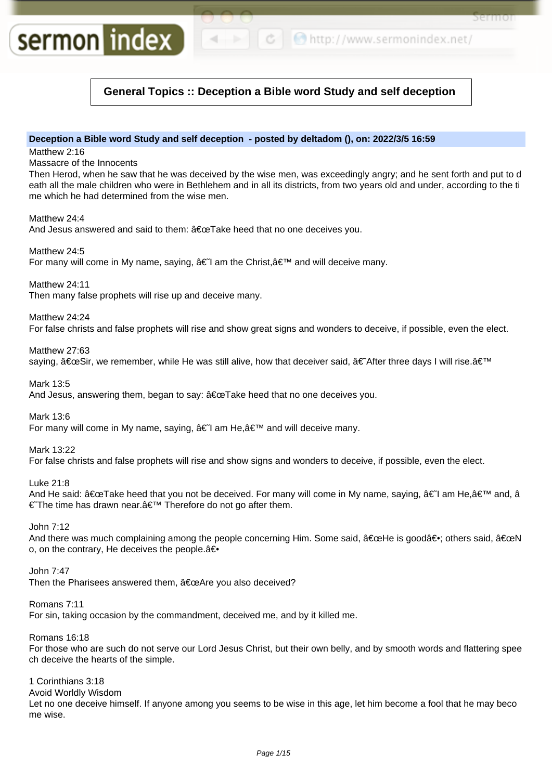```
← ● http://www.sermonindex.net/
```
Sel Itiol

# **General Topics :: Deception a Bible word Study and self deception**

# **Deception a Bible word Study and self deception - posted by deltadom (), on: 2022/3/5 16:59**

Matthew 2:16

Massacre of the Innocents

sermon index

Then Herod, when he saw that he was deceived by the wise men, was exceedingly angry; and he sent forth and put to d eath all the male children who were in Bethlehem and in all its districts, from two years old and under, according to the ti me which he had determined from the wise men.

Matthew 24:4

And Jesus answered and said to them:  $â€ceTake$  heed that no one deceives you.

Matthew 24:5 For many will come in My name, saying,  $\hat{a}\in I$  am the Christ,  $\hat{a}\in I^M$  and will deceive many.

Matthew 24:11

Then many false prophets will rise up and deceive many.

Matthew 24:24

For false christs and false prophets will rise and show great signs and wonders to deceive, if possible, even the elect.

Matthew 27:63 saying,  $â€ceSir$ , we remember, while He was still alive, how that deceiver said,  $â€A$ fter three days I will rise. $'$ 

Mark 13:5 And Jesus, answering them, began to say:  $\hat{a} \in \mathbb{C}$ Take heed that no one deceives you.

Mark 13:6

For many will come in My name, saying,  $\hat{a} \in I$  am He,  $\hat{a} \in I^M$  and will deceive many.

Mark 13:22

For false christs and false prophets will rise and show signs and wonders to deceive, if possible, even the elect.

Luke 21:8

And He said: "Take heed that you not be deceived. For many will come in My name, saying, †I am He, â€<sup>™</sup> and, â € The time has drawn near. a E<sup>™</sup> Therefore do not go after them.

John 7:12

And there was much complaining among the people concerning Him. Some said, "He is goodâ∈; others said, "N o, on the contrary, He deceives the people. $a\bigoplus$ 

John 7:47

Then the Pharisees answered them, "Are you also deceived?

Romans 7:11

For sin, taking occasion by the commandment, deceived me, and by it killed me.

Romans 16:18

For those who are such do not serve our Lord Jesus Christ, but their own belly, and by smooth words and flattering spee ch deceive the hearts of the simple.

1 Corinthians 3:18

Avoid Worldly Wisdom

Let no one deceive himself. If anyone among you seems to be wise in this age, let him become a fool that he may beco me wise.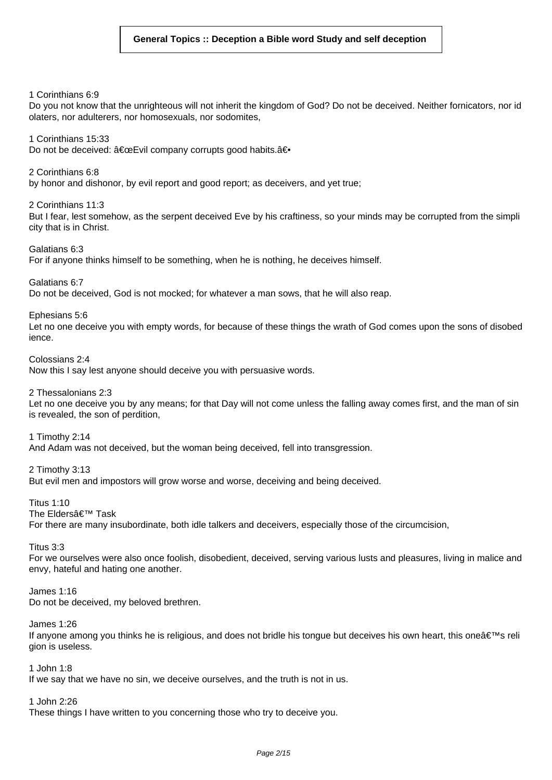1 Corinthians 6:9

Do you not know that the unrighteous will not inherit the kingdom of God? Do not be deceived. Neither fornicators, nor id olaters, nor adulterers, nor homosexuals, nor sodomites,

1 Corinthians 15:33 Do not be deceived: "Evil company corrupts good habits.â€

2 Corinthians 6:8 by honor and dishonor, by evil report and good report; as deceivers, and yet true;

2 Corinthians 11:3 But I fear, lest somehow, as the serpent deceived Eve by his craftiness, so your minds may be corrupted from the simpli city that is in Christ.

Galatians 6:3 For if anyone thinks himself to be something, when he is nothing, he deceives himself.

Galatians 6:7

Do not be deceived, God is not mocked; for whatever a man sows, that he will also reap.

Ephesians 5:6

Let no one deceive you with empty words, for because of these things the wrath of God comes upon the sons of disobed ience.

Colossians 2:4

Now this I say lest anyone should deceive you with persuasive words.

2 Thessalonians 2:3

Let no one deceive you by any means; for that Day will not come unless the falling away comes first, and the man of sin is revealed, the son of perdition,

1 Timothy 2:14 And Adam was not deceived, but the woman being deceived, fell into transgression.

2 Timothy 3:13 But evil men and impostors will grow worse and worse, deceiving and being deceived.

Titus 1:10 The Eldersâ€<sup>™</sup> Task For there are many insubordinate, both idle talkers and deceivers, especially those of the circumcision,

Titus 3:3

For we ourselves were also once foolish, disobedient, deceived, serving various lusts and pleasures, living in malice and envy, hateful and hating one another.

James 1:16

Do not be deceived, my beloved brethren.

James 1:26

If anyone among you thinks he is religious, and does not bridle his tongue but deceives his own heart, this one  $\hat{\mathbf{a}} \in \mathbb{R}^N$  religious, and does not bridle his tongue but deceives his own heart, this one  $\hat{\mathbf{a}}$ gion is useless.

1 John 1:8

If we say that we have no sin, we deceive ourselves, and the truth is not in us.

1 John 2:26

These things I have written to you concerning those who try to deceive you.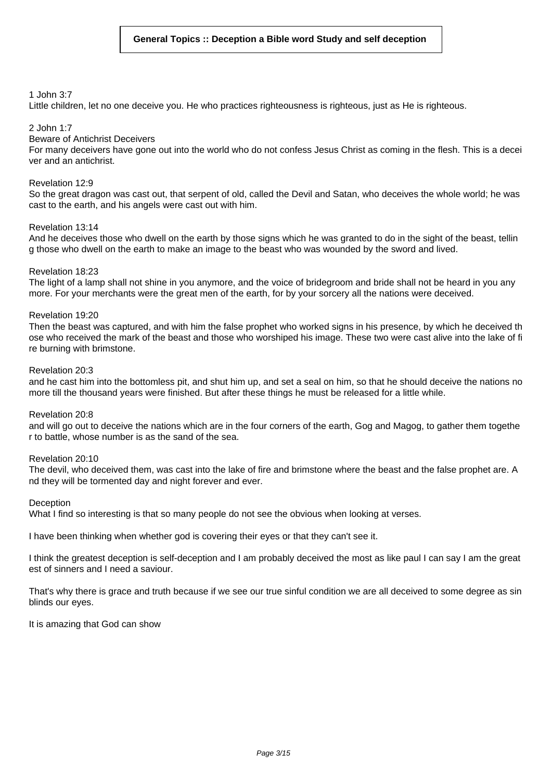### 1 John 3:7

Little children, let no one deceive you. He who practices righteousness is righteous, just as He is righteous.

### 2 John 1:7

### Beware of Antichrist Deceivers

For many deceivers have gone out into the world who do not confess Jesus Christ as coming in the flesh. This is a decei ver and an antichrist.

### Revelation 12:9

So the great dragon was cast out, that serpent of old, called the Devil and Satan, who deceives the whole world; he was cast to the earth, and his angels were cast out with him.

### Revelation 13:14

And he deceives those who dwell on the earth by those signs which he was granted to do in the sight of the beast, tellin g those who dwell on the earth to make an image to the beast who was wounded by the sword and lived.

### Revelation 18:23

The light of a lamp shall not shine in you anymore, and the voice of bridegroom and bride shall not be heard in you any more. For your merchants were the great men of the earth, for by your sorcery all the nations were deceived.

### Revelation 19:20

Then the beast was captured, and with him the false prophet who worked signs in his presence, by which he deceived th ose who received the mark of the beast and those who worshiped his image. These two were cast alive into the lake of fi re burning with brimstone.

#### Revelation 20:3

and he cast him into the bottomless pit, and shut him up, and set a seal on him, so that he should deceive the nations no more till the thousand years were finished. But after these things he must be released for a little while.

### Revelation 20:8

and will go out to deceive the nations which are in the four corners of the earth, Gog and Magog, to gather them togethe r to battle, whose number is as the sand of the sea.

#### Revelation 20:10

The devil, who deceived them, was cast into the lake of fire and brimstone where the beast and the false prophet are. A nd they will be tormented day and night forever and ever.

#### Deception

What I find so interesting is that so many people do not see the obvious when looking at verses.

I have been thinking when whether god is covering their eyes or that they can't see it.

I think the greatest deception is self-deception and I am probably deceived the most as like paul I can say I am the great est of sinners and I need a saviour.

That's why there is grace and truth because if we see our true sinful condition we are all deceived to some degree as sin blinds our eyes.

It is amazing that God can show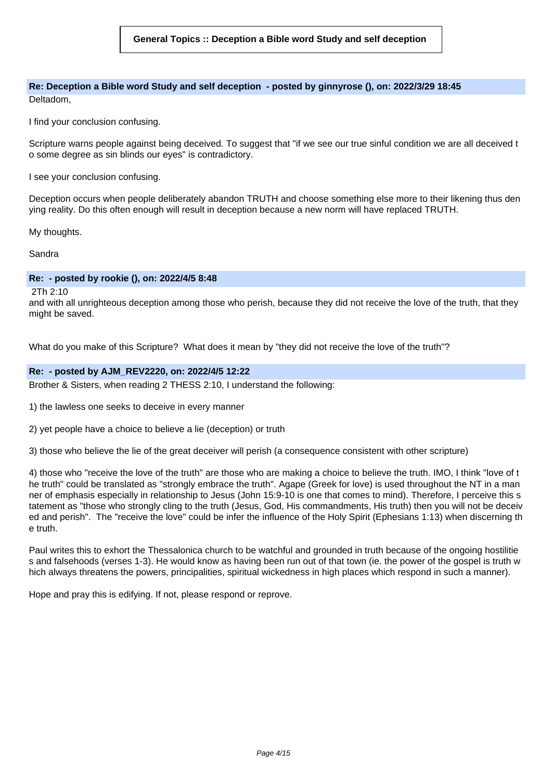**Re: Deception a Bible word Study and self deception - posted by ginnyrose (), on: 2022/3/29 18:45** Deltadom,

I find your conclusion confusing.

Scripture warns people against being deceived. To suggest that "if we see our true sinful condition we are all deceived t o some degree as sin blinds our eyes" is contradictory.

I see your conclusion confusing.

Deception occurs when people deliberately abandon TRUTH and choose something else more to their likening thus den ying reality. Do this often enough will result in deception because a new norm will have replaced TRUTH.

My thoughts.

Sandra

### **Re: - posted by rookie (), on: 2022/4/5 8:48**

2Th 2:10

and with all unrighteous deception among those who perish, because they did not receive the love of the truth, that they might be saved.

What do you make of this Scripture? What does it mean by "they did not receive the love of the truth"?

### **Re: - posted by AJM\_REV2220, on: 2022/4/5 12:22**

Brother & Sisters, when reading 2 THESS 2:10, I understand the following:

1) the lawless one seeks to deceive in every manner

2) yet people have a choice to believe a lie (deception) or truth

3) those who believe the lie of the great deceiver will perish (a consequence consistent with other scripture)

4) those who "receive the love of the truth" are those who are making a choice to believe the truth. IMO, I think "love of t he truth" could be translated as "strongly embrace the truth". Agape (Greek for love) is used throughout the NT in a man ner of emphasis especially in relationship to Jesus (John 15:9-10 is one that comes to mind). Therefore, I perceive this s tatement as "those who strongly cling to the truth (Jesus, God, His commandments, His truth) then you will not be deceiv ed and perish". The "receive the love" could be infer the influence of the Holy Spirit (Ephesians 1:13) when discerning th e truth.

Paul writes this to exhort the Thessalonica church to be watchful and grounded in truth because of the ongoing hostilitie s and falsehoods (verses 1-3). He would know as having been run out of that town (ie. the power of the gospel is truth w hich always threatens the powers, principalities, spiritual wickedness in high places which respond in such a manner).

Hope and pray this is edifying. If not, please respond or reprove.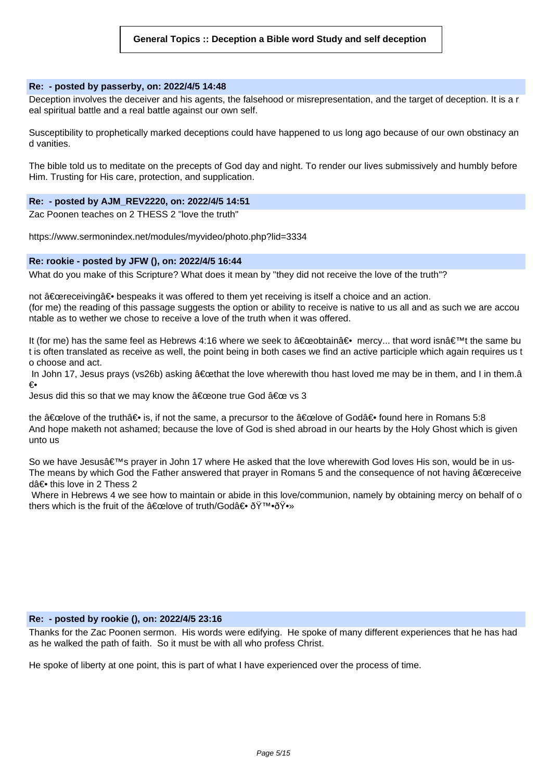### **Re: - posted by passerby, on: 2022/4/5 14:48**

Deception involves the deceiver and his agents, the falsehood or misrepresentation, and the target of deception. It is a r eal spiritual battle and a real battle against our own self.

Susceptibility to prophetically marked deceptions could have happened to us long ago because of our own obstinacy an d vanities.

The bible told us to meditate on the precepts of God day and night. To render our lives submissively and humbly before Him. Trusting for His care, protection, and supplication.

### **Re: - posted by AJM\_REV2220, on: 2022/4/5 14:51**

Zac Poonen teaches on 2 THESS 2 "love the truth"

https://www.sermonindex.net/modules/myvideo/photo.php?lid=3334

#### **Re: rookie - posted by JFW (), on: 2022/4/5 16:44**

What do you make of this Scripture? What does it mean by "they did not receive the love of the truth"?

not "receivingâ⊕ bespeaks it was offered to them yet receiving is itself a choice and an action.

(for me) the reading of this passage suggests the option or ability to receive is native to us all and as such we are accou ntable as to wether we chose to receive a love of the truth when it was offered.

It (for me) has the same feel as Hebrews 4:16 where we seek to  $\hat{a} \in \mathbb{C}$  mercy... that word isn $\hat{a} \in \mathbb{N}$ t the same bu t is often translated as receive as well, the point being in both cases we find an active participle which again requires us t o choose and act.

In John 17, Jesus prays (vs26b) asking  $\hat{a} \in \text{ceth}$  at the love wherewith thou hast loved me may be in them, and I in them. $\hat{a}$ ۥ

Jesus did this so that we may know the  $\hat{a} \in \hat{c}$  and true God  $\hat{a} \in \infty$  vs 3

the  $\hat{a} \in \hat{c}$  and the truth  $\hat{a} \in \hat{c}$  is, if not the same, a precursor to the  $\hat{a} \in \hat{c}$  and  $\hat{c} \in \hat{c}$  found here in Romans 5:8 And hope maketh not ashamed; because the love of God is shed abroad in our hearts by the Holy Ghost which is given unto us

So we have Jesus's prayer in John 17 where He asked that the love wherewith God loves His son, would be in us-The means by which God the Father answered that prayer in Romans 5 and the consequence of not having  $\hat{a} \in \hat{c}$  exereceive d†this love in 2 Thess 2

Where in Hebrews 4 we see how to maintain or abide in this love/communion, namely by obtaining mercy on behalf of o thers which is the fruit of the  $\hat{a} \in \text{celove}$  of truth/God $\hat{a} \in \delta \check{Y}^{T M} \cdot \check{O} \check{Y} \cdot w$ 

### **Re: - posted by rookie (), on: 2022/4/5 23:16**

Thanks for the Zac Poonen sermon. His words were edifying. He spoke of many different experiences that he has had as he walked the path of faith. So it must be with all who profess Christ.

He spoke of liberty at one point, this is part of what I have experienced over the process of time.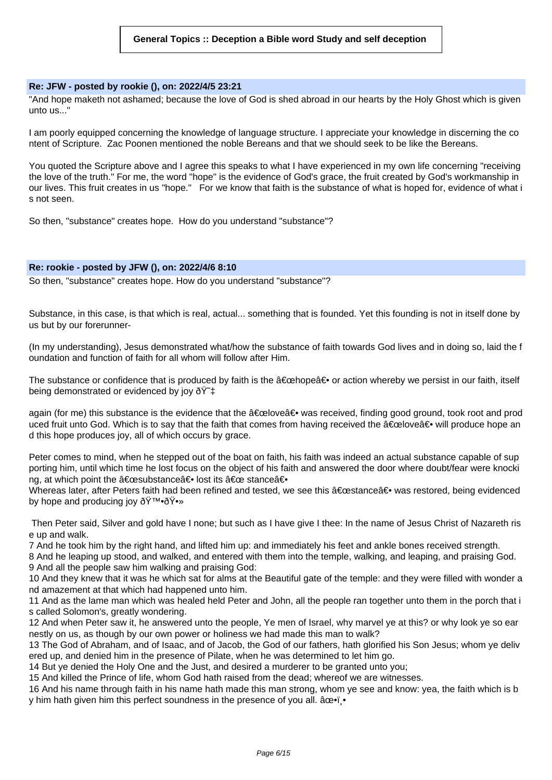### **Re: JFW - posted by rookie (), on: 2022/4/5 23:21**

"And hope maketh not ashamed; because the love of God is shed abroad in our hearts by the Holy Ghost which is given unto us..."

I am poorly equipped concerning the knowledge of language structure. I appreciate your knowledge in discerning the co ntent of Scripture. Zac Poonen mentioned the noble Bereans and that we should seek to be like the Bereans.

You quoted the Scripture above and I agree this speaks to what I have experienced in my own life concerning "receiving the love of the truth." For me, the word "hope" is the evidence of God's grace, the fruit created by God's workmanship in our lives. This fruit creates in us "hope." For we know that faith is the substance of what is hoped for, evidence of what i s not seen.

So then, "substance" creates hope. How do you understand "substance"?

### **Re: rookie - posted by JFW (), on: 2022/4/6 8:10**

So then, "substance" creates hope. How do you understand "substance"?

Substance, in this case, is that which is real, actual... something that is founded. Yet this founding is not in itself done by us but by our forerunner-

(In my understanding), Jesus demonstrated what/how the substance of faith towards God lives and in doing so, laid the f oundation and function of faith for all whom will follow after Him.

The substance or confidence that is produced by faith is the  $\hat{a} \in \hat{c}$  or action whereby we persist in our faith, itself being demonstrated or evidenced by joy  $\check{\sigma}\check{\Upsilon}^*$ 

again (for me) this substance is the evidence that the  $\hat{a} \in \hat{c}$ elove $\hat{a} \in \hat{c}$  was received, finding good ground, took root and prod uced fruit unto God. Which is to say that the faith that comes from having received the "loveâ⊕ will produce hope an d this hope produces joy, all of which occurs by grace.

Peter comes to mind, when he stepped out of the boat on faith, his faith was indeed an actual substance capable of sup porting him, until which time he lost focus on the object of his faith and answered the door where doubt/fear were knocki ng, at which point the "substanceâ⊖ lost its " stanceâ⊖

Whereas later, after Peters faith had been refined and tested, we see this "stanceâ∈ was restored, being evidenced by hope and producing joy  $\delta \ddot{Y}^{\text{TM}} \cdot \delta \ddot{Y} \cdot \delta Y$ 

Then Peter said, Silver and gold have I none; but such as I have give I thee: In the name of Jesus Christ of Nazareth ris e up and walk.

7 And he took him by the right hand, and lifted him up: and immediately his feet and ankle bones received strength.

8 And he leaping up stood, and walked, and entered with them into the temple, walking, and leaping, and praising God. 9 And all the people saw him walking and praising God:

10 And they knew that it was he which sat for alms at the Beautiful gate of the temple: and they were filled with wonder a nd amazement at that which had happened unto him.

11 And as the lame man which was healed held Peter and John, all the people ran together unto them in the porch that i s called Solomon's, greatly wondering.

12 And when Peter saw it, he answered unto the people, Ye men of Israel, why marvel ye at this? or why look ye so ear nestly on us, as though by our own power or holiness we had made this man to walk?

13 The God of Abraham, and of Isaac, and of Jacob, the God of our fathers, hath glorified his Son Jesus; whom ye deliv ered up, and denied him in the presence of Pilate, when he was determined to let him go.

14 But ye denied the Holy One and the Just, and desired a murderer to be granted unto you;

15 And killed the Prince of life, whom God hath raised from the dead; whereof we are witnesses.

16 And his name through faith in his name hath made this man strong, whom ye see and know: yea, the faith which is b y him hath given him this perfect soundness in the presence of you all. âce i.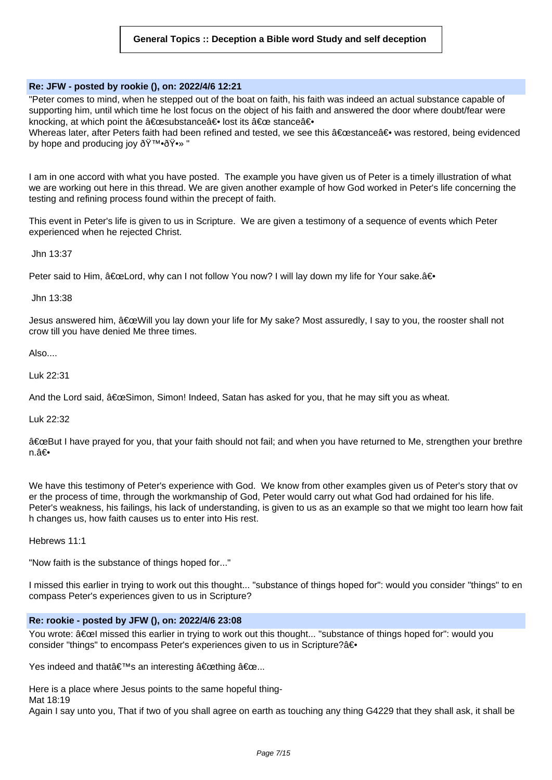### **Re: JFW - posted by rookie (), on: 2022/4/6 12:21**

"Peter comes to mind, when he stepped out of the boat on faith, his faith was indeed an actual substance capable of supporting him, until which time he lost focus on the object of his faith and answered the door where doubt/fear were knocking, at which point the "substance― lost its " stance―

Whereas later, after Peters faith had been refined and tested, we see this "stance― was restored, being evidenced by hope and producing joy 🙕🕻 "

I am in one accord with what you have posted. The example you have given us of Peter is a timely illustration of what we are working out here in this thread. We are given another example of how God worked in Peter's life concerning the testing and refining process found within the precept of faith.

This event in Peter's life is given to us in Scripture. We are given a testimony of a sequence of events which Peter experienced when he rejected Christ.

Jhn 13:37

Peter said to Him, "Lord, why can I not follow You now? I will lay down my life for Your sake. â€.

Jhn 13:38

Jesus answered him, "Will you lay down your life for My sake? Most assuredly, I say to you, the rooster shall not crow till you have denied Me three times.

Also....

Luk 22:31

And the Lord said,  $\hat{a} \in \Omega$ Simon, Simon! Indeed, Satan has asked for you, that he may sift you as wheat.

Luk 22:32

"But I have prayed for you, that your faith should not fail; and when you have returned to Me, strengthen your brethre n.â€∙

We have this testimony of Peter's experience with God. We know from other examples given us of Peter's story that ov er the process of time, through the workmanship of God, Peter would carry out what God had ordained for his life. Peter's weakness, his failings, his lack of understanding, is given to us as an example so that we might too learn how fait h changes us, how faith causes us to enter into His rest.

Hebrews 11:1

"Now faith is the substance of things hoped for..."

I missed this earlier in trying to work out this thought... "substance of things hoped for": would you consider "things" to en compass Peter's experiences given to us in Scripture?

# **Re: rookie - posted by JFW (), on: 2022/4/6 23:08**

You wrote: "l missed this earlier in trying to work out this thought... "substance of things hoped for": would you consider "things" to encompass Peter's experiences given to us in Scripture?â€.

Yes indeed and that  $\hat{\mathbf{a}} \in \mathbb{R}^{T}$ s an interesting  $\hat{\mathbf{a}} \in \mathbb{C}$ ething  $\hat{\mathbf{a}} \in \mathbb{C}$ ...

Here is a place where Jesus points to the same hopeful thing-

Mat 18:19

Again I say unto you, That if two of you shall agree on earth as touching any thing G4229 that they shall ask, it shall be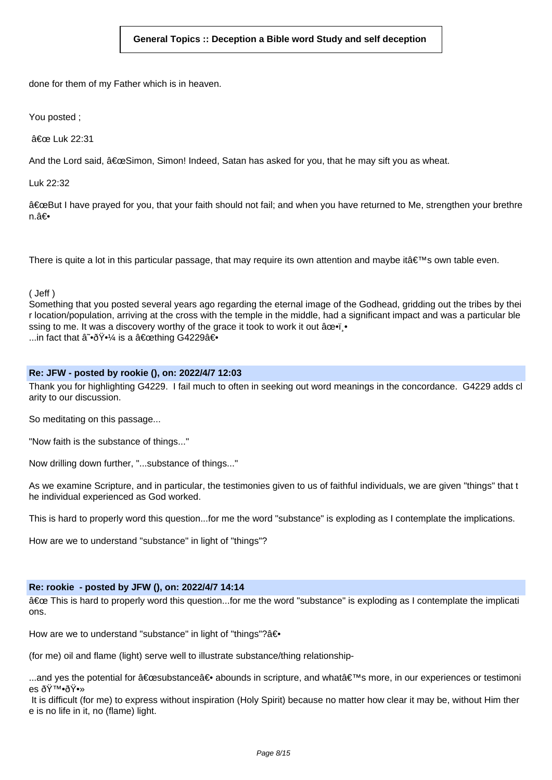done for them of my Father which is in heaven.

You posted ;

" Luk 22:31

And the Lord said,  $\hat{a} \in \Omega$ Simon, Simon! Indeed, Satan has asked for you, that he may sift you as wheat.

Luk 22:32

"But I have prayed for you, that your faith should not fail; and when you have returned to Me, strengthen your brethre n.â<del>€</del>

There is quite a lot in this particular passage, that may require its own attention and maybe it $\hat{\epsilon} \in \mathbb{N}$ s own table even.

( Jeff )

Something that you posted several years ago regarding the eternal image of the Godhead, gridding out the tribes by thei r location/population, arriving at the cross with the temple in the middle, had a significant impact and was a particular ble ssing to me. It was a discovery worthy of the grace it took to work it out âce.j. ...in fact that  $\hat{a} \tilde{\cdot} \delta \tilde{Y} \cdot \frac{1}{4}$  is a  $\hat{a} \in \text{cothing } G$ 4229 $\hat{a} \in \text{C}$ 

# **Re: JFW - posted by rookie (), on: 2022/4/7 12:03**

Thank you for highlighting G4229. I fail much to often in seeking out word meanings in the concordance. G4229 adds cl arity to our discussion.

So meditating on this passage...

"Now faith is the substance of things..."

Now drilling down further, "...substance of things..."

As we examine Scripture, and in particular, the testimonies given to us of faithful individuals, we are given "things" that t he individual experienced as God worked.

This is hard to properly word this question...for me the word "substance" is exploding as I contemplate the implications.

How are we to understand "substance" in light of "things"?

# **Re: rookie - posted by JFW (), on: 2022/4/7 14:14**

" This is hard to properly word this question...for me the word "substance" is exploding as I contemplate the implicati ons.

How are we to understand "substance" in light of "things"? $a\rightarrow$ 

(for me) oil and flame (light) serve well to illustrate substance/thing relationship-

...and yes the potential for "substanceâ⊕ abounds in scripture, and what's more, in our experiences or testimoni es 🙕🕻

It is difficult (for me) to express without inspiration (Holy Spirit) because no matter how clear it may be, without Him ther e is no life in it, no (flame) light.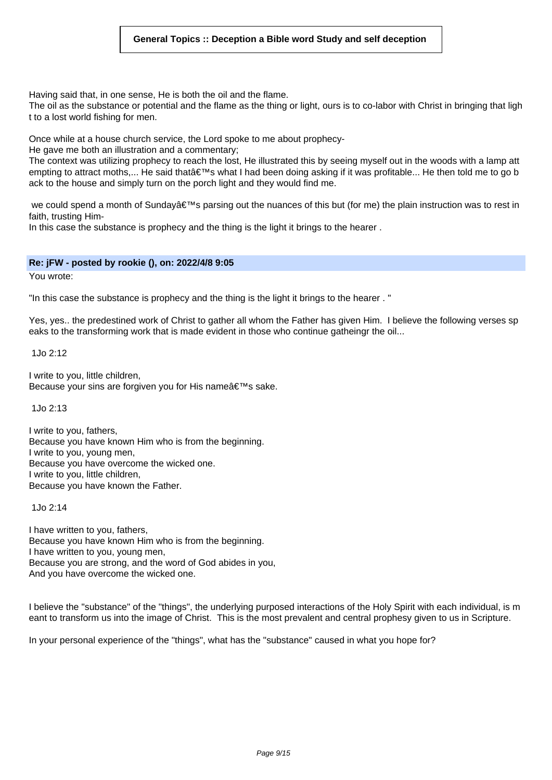### **General Topics :: Deception a Bible word Study and self deception**

Having said that, in one sense, He is both the oil and the flame.

The oil as the substance or potential and the flame as the thing or light, ours is to co-labor with Christ in bringing that ligh t to a lost world fishing for men.

Once while at a house church service, the Lord spoke to me about prophecy-

He gave me both an illustration and a commentary;

The context was utilizing prophecy to reach the lost, He illustrated this by seeing myself out in the woods with a lamp att empting to attract moths,... He said that's what I had been doing asking if it was profitable... He then told me to go b ack to the house and simply turn on the porch light and they would find me.

we could spend a month of Sunday $\hat{a} \in \mathbb{N}$ s parsing out the nuances of this but (for me) the plain instruction was to rest in faith, trusting Him-

In this case the substance is prophecy and the thing is the light it brings to the hearer .

### **Re: jFW - posted by rookie (), on: 2022/4/8 9:05**

You wrote:

"In this case the substance is prophecy and the thing is the light it brings to the hearer . "

Yes, yes.. the predestined work of Christ to gather all whom the Father has given Him. I believe the following verses sp eaks to the transforming work that is made evident in those who continue gatheingr the oil...

1Jo 2:12

I write to you, little children, Because your sins are forgiven you for His name's sake.

1Jo 2:13

I write to you, fathers, Because you have known Him who is from the beginning. I write to you, young men, Because you have overcome the wicked one. I write to you, little children, Because you have known the Father.

1Jo 2:14

I have written to you, fathers, Because you have known Him who is from the beginning. I have written to you, young men, Because you are strong, and the word of God abides in you, And you have overcome the wicked one.

I believe the "substance" of the "things", the underlying purposed interactions of the Holy Spirit with each individual, is m eant to transform us into the image of Christ. This is the most prevalent and central prophesy given to us in Scripture.

In your personal experience of the "things", what has the "substance" caused in what you hope for?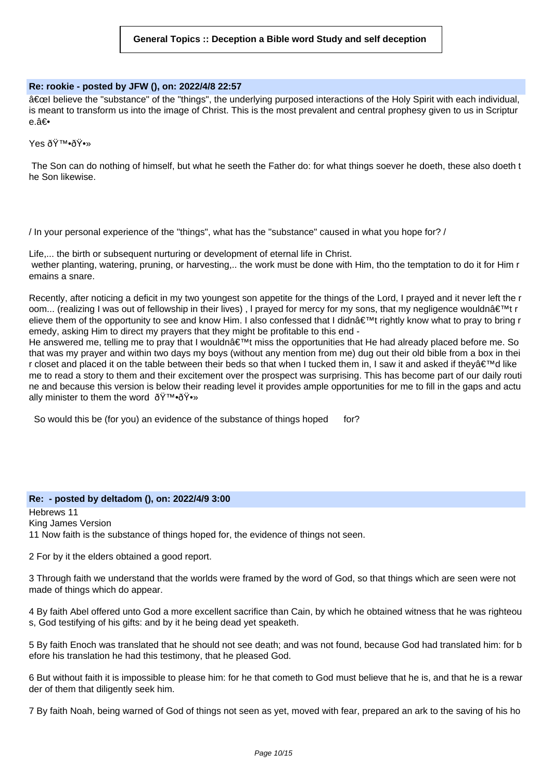### **Re: rookie - posted by JFW (), on: 2022/4/8 22:57**

â€cel believe the "substance" of the "things", the underlying purposed interactions of the Holy Spirit with each individual, is meant to transform us into the image of Christ. This is the most prevalent and central prophesy given to us in Scriptur e.â€

Yes 🙕🕻

The Son can do nothing of himself, but what he seeth the Father do: for what things soever he doeth, these also doeth t he Son likewise.

/ In your personal experience of the "things", what has the "substance" caused in what you hope for? /

Life,... the birth or subsequent nurturing or development of eternal life in Christ. wether planting, watering, pruning, or harvesting,.. the work must be done with Him, tho the temptation to do it for Him r emains a snare.

Recently, after noticing a deficit in my two youngest son appetite for the things of the Lord, I prayed and it never left the r oom... (realizing I was out of fellowship in their lives), I prayed for mercy for my sons, that my negligence wouldn't r elieve them of the opportunity to see and know Him. I also confessed that I didn $\hat{a} \in \mathbb{M}$ t rightly know what to pray to bring r emedy, asking Him to direct my prayers that they might be profitable to this end -

He answered me, telling me to pray that I wouldn a ∈<sup>™</sup>t miss the opportunities that He had already placed before me. So that was my prayer and within two days my boys (without any mention from me) dug out their old bible from a box in thei r closet and placed it on the table between their beds so that when I tucked them in, I saw it and asked if they $\hat{\mathbf{a}} \in \mathbb{N}$  like me to read a story to them and their excitement over the prospect was surprising. This has become part of our daily routi ne and because this version is below their reading level it provides ample opportunities for me to fill in the gaps and actu ally minister to them the word  $\tilde{O}Y^{\text{TM}}\cdot \tilde{O}Y^{\text{TM}}$ 

So would this be (for you) an evidence of the substance of things hoped for?

# **Re: - posted by deltadom (), on: 2022/4/9 3:00**

Hebrews 11 King James Version 11 Now faith is the substance of things hoped for, the evidence of things not seen.

2 For by it the elders obtained a good report.

3 Through faith we understand that the worlds were framed by the word of God, so that things which are seen were not made of things which do appear.

4 By faith Abel offered unto God a more excellent sacrifice than Cain, by which he obtained witness that he was righteou s, God testifying of his gifts: and by it he being dead yet speaketh.

5 By faith Enoch was translated that he should not see death; and was not found, because God had translated him: for b efore his translation he had this testimony, that he pleased God.

6 But without faith it is impossible to please him: for he that cometh to God must believe that he is, and that he is a rewar der of them that diligently seek him.

7 By faith Noah, being warned of God of things not seen as yet, moved with fear, prepared an ark to the saving of his ho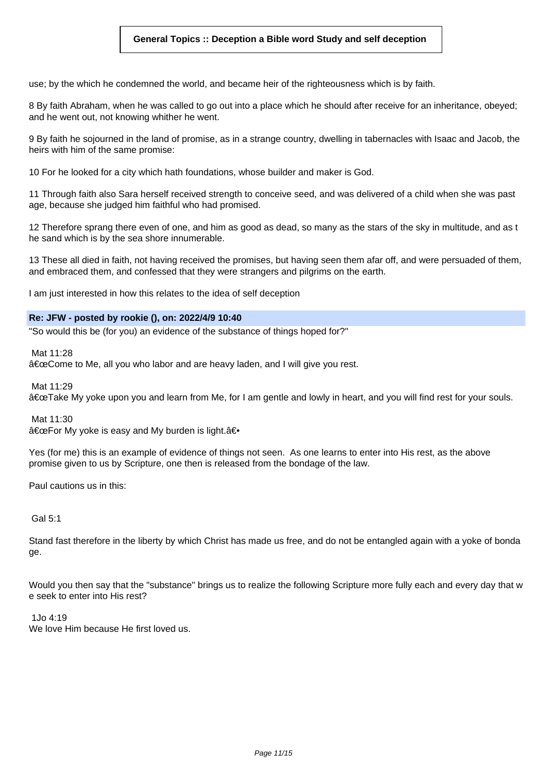# **General Topics :: Deception a Bible word Study and self deception**

use; by the which he condemned the world, and became heir of the righteousness which is by faith.

8 By faith Abraham, when he was called to go out into a place which he should after receive for an inheritance, obeyed; and he went out, not knowing whither he went.

9 By faith he sojourned in the land of promise, as in a strange country, dwelling in tabernacles with Isaac and Jacob, the heirs with him of the same promise:

10 For he looked for a city which hath foundations, whose builder and maker is God.

11 Through faith also Sara herself received strength to conceive seed, and was delivered of a child when she was past age, because she judged him faithful who had promised.

12 Therefore sprang there even of one, and him as good as dead, so many as the stars of the sky in multitude, and as t he sand which is by the sea shore innumerable.

13 These all died in faith, not having received the promises, but having seen them afar off, and were persuaded of them, and embraced them, and confessed that they were strangers and pilgrims on the earth.

I am just interested in how this relates to the idea of self deception

### **Re: JFW - posted by rookie (), on: 2022/4/9 10:40**

"So would this be (for you) an evidence of the substance of things hoped for?"

Mat 11:28

"Come to Me, all you who labor and are heavy laden, and I will give you rest.

Mat 11:29

"Take My yoke upon you and learn from Me, for I am gentle and lowly in heart, and you will find rest for your souls.

Mat 11:30

"For My yoke is easy and My burden is light.―

Yes (for me) this is an example of evidence of things not seen. As one learns to enter into His rest, as the above promise given to us by Scripture, one then is released from the bondage of the law.

Paul cautions us in this:

Gal 5:1

Stand fast therefore in the liberty by which Christ has made us free, and do not be entangled again with a yoke of bonda ge.

Would you then say that the "substance" brings us to realize the following Scripture more fully each and every day that w e seek to enter into His rest?

 $1\sqrt{4.19}$ 

We love Him because He first loved us.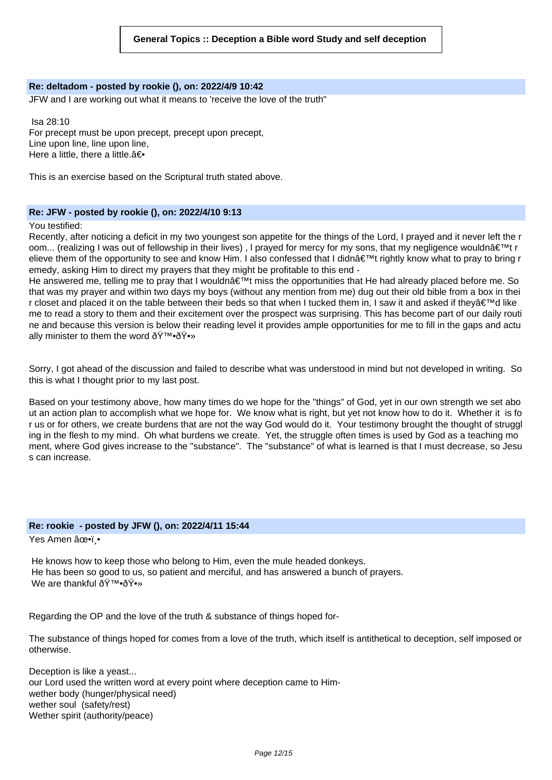#### **Re: deltadom - posted by rookie (), on: 2022/4/9 10:42**

JFW and I are working out what it means to 'receive the love of the truth"

Isa 28:10 For precept must be upon precept, precept upon precept, Line upon line, line upon line, Here a little, there a little. $a\bigoplus$ 

This is an exercise based on the Scriptural truth stated above.

### **Re: JFW - posted by rookie (), on: 2022/4/10 9:13**

#### You testified:

Recently, after noticing a deficit in my two youngest son appetite for the things of the Lord, I prayed and it never left the r oom... (realizing I was out of fellowship in their lives), I prayed for mercy for my sons, that my negligence wouldn't r elieve them of the opportunity to see and know Him. I also confessed that I didnâ€<sup>™</sup>t rightly know what to pray to bring r emedy, asking Him to direct my prayers that they might be profitable to this end -

He answered me, telling me to pray that I wouldn't miss the opportunities that He had already placed before me. So that was my prayer and within two days my boys (without any mention from me) dug out their old bible from a box in thei r closet and placed it on the table between their beds so that when I tucked them in, I saw it and asked if they $\hat{\mathbf{a}} \in \mathbb{N}$  like me to read a story to them and their excitement over the prospect was surprising. This has become part of our daily routi ne and because this version is below their reading level it provides ample opportunities for me to fill in the gaps and actu ally minister to them the word  $\text{\rm d}\text{\rm Y}^{\scriptscriptstyle {\rm TM}}\text{-}\text{\rm d}\text{\rm Y}^{\scriptscriptstyle {\rm \bullet}}\text{W}}$ 

Sorry, I got ahead of the discussion and failed to describe what was understood in mind but not developed in writing. So this is what I thought prior to my last post.

Based on your testimony above, how many times do we hope for the "things" of God, yet in our own strength we set abo ut an action plan to accomplish what we hope for. We know what is right, but yet not know how to do it. Whether it is fo r us or for others, we create burdens that are not the way God would do it. Your testimony brought the thought of struggl ing in the flesh to my mind. Oh what burdens we create. Yet, the struggle often times is used by God as a teaching mo ment, where God gives increase to the "substance". The "substance" of what is learned is that I must decrease, so Jesu s can increase.

### **Re: rookie - posted by JFW (), on: 2022/4/11 15:44**

Yes Amen ✕ï .•

He knows how to keep those who belong to Him, even the mule headed donkeys. He has been so good to us, so patient and merciful, and has answered a bunch of prayers. We are thankful 🙕🕻

Regarding the OP and the love of the truth & substance of things hoped for-

The substance of things hoped for comes from a love of the truth, which itself is antithetical to deception, self imposed or otherwise.

Deception is like a yeast... our Lord used the written word at every point where deception came to Himwether body (hunger/physical need) wether soul (safety/rest) Wether spirit (authority/peace)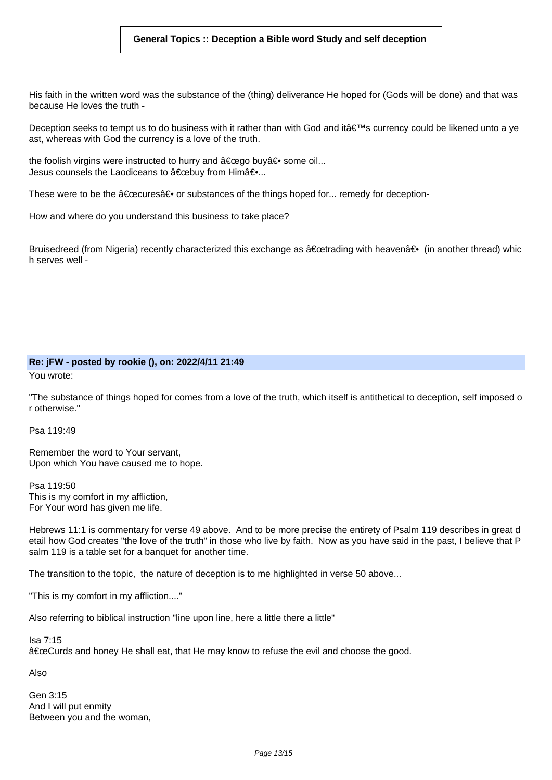### **General Topics :: Deception a Bible word Study and self deception**

His faith in the written word was the substance of the (thing) deliverance He hoped for (Gods will be done) and that was because He loves the truth -

Deception seeks to tempt us to do business with it rather than with God and it's currency could be likened unto a ye ast, whereas with God the currency is a love of the truth.

the foolish virgins were instructed to hurry and  $\hat{a} \in \hat{c}$  buy  $\hat{a} \in \hat{c}$  some oil... Jesus counsels the Laodiceans to  $\hat{a} \in \hat{b}$ uv from Him $\hat{a} \in \dots$ ...

These were to be the  $\hat{a} \in \hat{c}$  or substances of the things hoped for... remedy for deception-

How and where do you understand this business to take place?

Bruisedreed (from Nigeria) recently characterized this exchange as "trading with heavenâ∈ (in another thread) whic h serves well -

# **Re: jFW - posted by rookie (), on: 2022/4/11 21:49**

You wrote:

"The substance of things hoped for comes from a love of the truth, which itself is antithetical to deception, self imposed o r otherwise."

Psa 119:49

Remember the word to Your servant, Upon which You have caused me to hope.

Psa 119:50 This is my comfort in my affliction, For Your word has given me life.

Hebrews 11:1 is commentary for verse 49 above. And to be more precise the entirety of Psalm 119 describes in great d etail how God creates "the love of the truth" in those who live by faith. Now as you have said in the past, I believe that P salm 119 is a table set for a banquet for another time.

The transition to the topic, the nature of deception is to me highlighted in verse 50 above...

"This is my comfort in my affliction...."

Also referring to biblical instruction "line upon line, here a little there a little"

Isa 7:15 "Curds and honey He shall eat, that He may know to refuse the evil and choose the good.

Also

Gen 3:15 And I will put enmity Between you and the woman,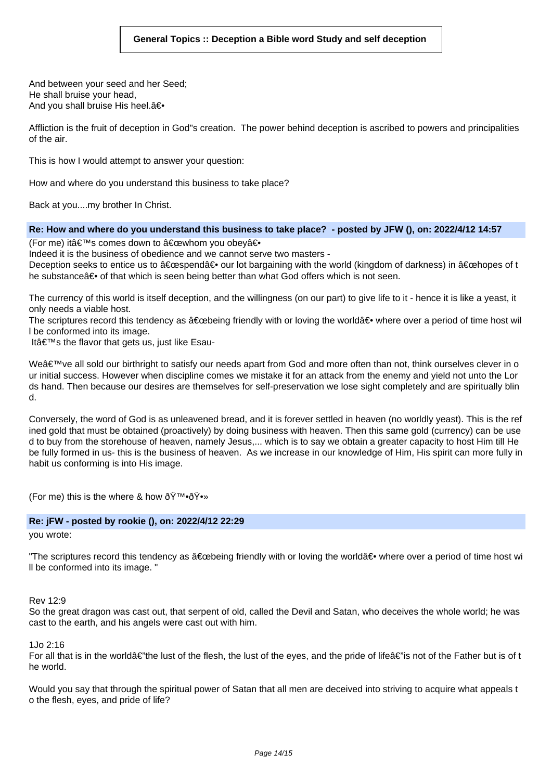And between your seed and her Seed; He shall bruise your head, And you shall bruise His heel.a<sup>€</sup>

Affliction is the fruit of deception in God"s creation. The power behind deception is ascribed to powers and principalities of the air.

This is how I would attempt to answer your question:

How and where do you understand this business to take place?

Back at you....my brother In Christ.

**Re: How and where do you understand this business to take place? - posted by JFW (), on: 2022/4/12 14:57**

(For me) it's comes down to "whom you obeyâ<del>⊙</del>

Indeed it is the business of obedience and we cannot serve two masters -

Deception seeks to entice us to "spendâ⊕ our lot bargaining with the world (kingdom of darkness) in "hopes of t he substance a of that which is seen being better than what God offers which is not seen.

The currency of this world is itself deception, and the willingness (on our part) to give life to it - hence it is like a yeast, it only needs a viable host.

The scriptures record this tendency as  $\hat{a} \in \hat{b}$  excepting friendly with or loving the world $\hat{a} \in \hat{b}$  where over a period of time host will l be conformed into its image.

It $a \in \mathbb{N}$ s the flavor that gets us, just like Esau-

We've all sold our birthright to satisfy our needs apart from God and more often than not, think ourselves clever in o ur initial success. However when discipline comes we mistake it for an attack from the enemy and yield not unto the Lor ds hand. Then because our desires are themselves for self-preservation we lose sight completely and are spiritually blin d.

Conversely, the word of God is as unleavened bread, and it is forever settled in heaven (no worldly yeast). This is the ref ined gold that must be obtained (proactively) by doing business with heaven. Then this same gold (currency) can be use d to buy from the storehouse of heaven, namely Jesus,... which is to say we obtain a greater capacity to host Him till He be fully formed in us- this is the business of heaven. As we increase in our knowledge of Him, His spirit can more fully in habit us conforming is into His image.

(For me) this is the where & how  $\text{OY}^{\text{TM}}\text{-OY}$ 

# **Re: jFW - posted by rookie (), on: 2022/4/12 22:29**

you wrote:

"The scriptures record this tendency as  $\hat{a} \in \hat{b}$  friendly with or loving the world $\hat{a} \in \hat{b}$  where over a period of time host wi ll be conformed into its image. "

Rev 12:9

So the great dragon was cast out, that serpent of old, called the Devil and Satan, who deceives the whole world; he was cast to the earth, and his angels were cast out with him.

1. $I_0$  2:16

For all that is in the worlda  $\varepsilon$ 'the lust of the flesh, the lust of the eyes, and the pride of lifea $\varepsilon$ 'is not of the Father but is of t he world.

Would you say that through the spiritual power of Satan that all men are deceived into striving to acquire what appeals t o the flesh, eyes, and pride of life?